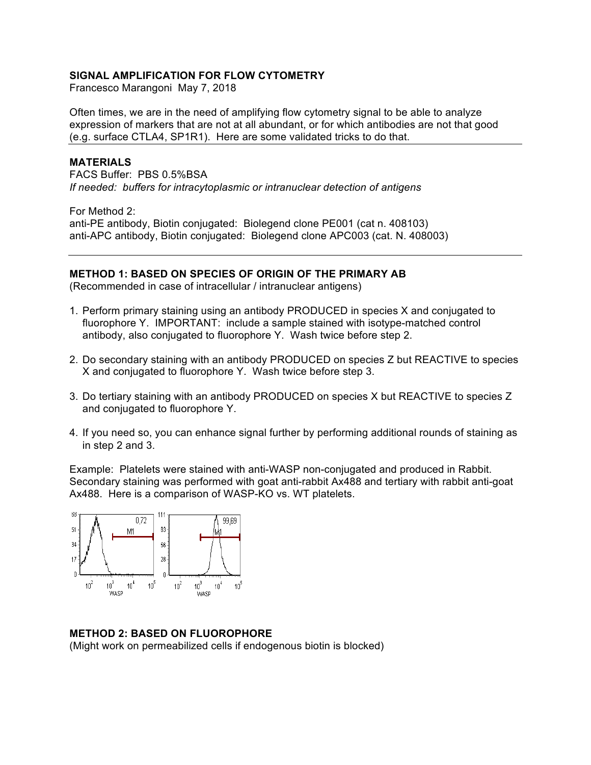## **SIGNAL AMPLIFICATION FOR FLOW CYTOMETRY**

Francesco Marangoni May 7, 2018

Often times, we are in the need of amplifying flow cytometry signal to be able to analyze expression of markers that are not at all abundant, or for which antibodies are not that good (e.g. surface CTLA4, SP1R1). Here are some validated tricks to do that.

## **MATERIALS**

FACS Buffer: PBS 0.5%BSA *If needed: buffers for intracytoplasmic or intranuclear detection of antigens*

For Method 2:

anti-PE antibody, Biotin conjugated: Biolegend clone PE001 (cat n. 408103) anti-APC antibody, Biotin conjugated: Biolegend clone APC003 (cat. N. 408003)

## **METHOD 1: BASED ON SPECIES OF ORIGIN OF THE PRIMARY AB**

(Recommended in case of intracellular / intranuclear antigens)

- 1. Perform primary staining using an antibody PRODUCED in species X and conjugated to fluorophore Y. IMPORTANT: include a sample stained with isotype-matched control antibody, also conjugated to fluorophore Y. Wash twice before step 2.
- 2. Do secondary staining with an antibody PRODUCED on species Z but REACTIVE to species X and conjugated to fluorophore Y. Wash twice before step 3.
- 3. Do tertiary staining with an antibody PRODUCED on species X but REACTIVE to species Z and conjugated to fluorophore Y.
- 4. If you need so, you can enhance signal further by performing additional rounds of staining as in step 2 and 3.

Example: Platelets were stained with anti-WASP non-conjugated and produced in Rabbit. Secondary staining was performed with goat anti-rabbit Ax488 and tertiary with rabbit anti-goat Ax488. Here is a comparison of WASP-KO vs. WT platelets.



## **METHOD 2: BASED ON FLUOROPHORE**

(Might work on permeabilized cells if endogenous biotin is blocked)